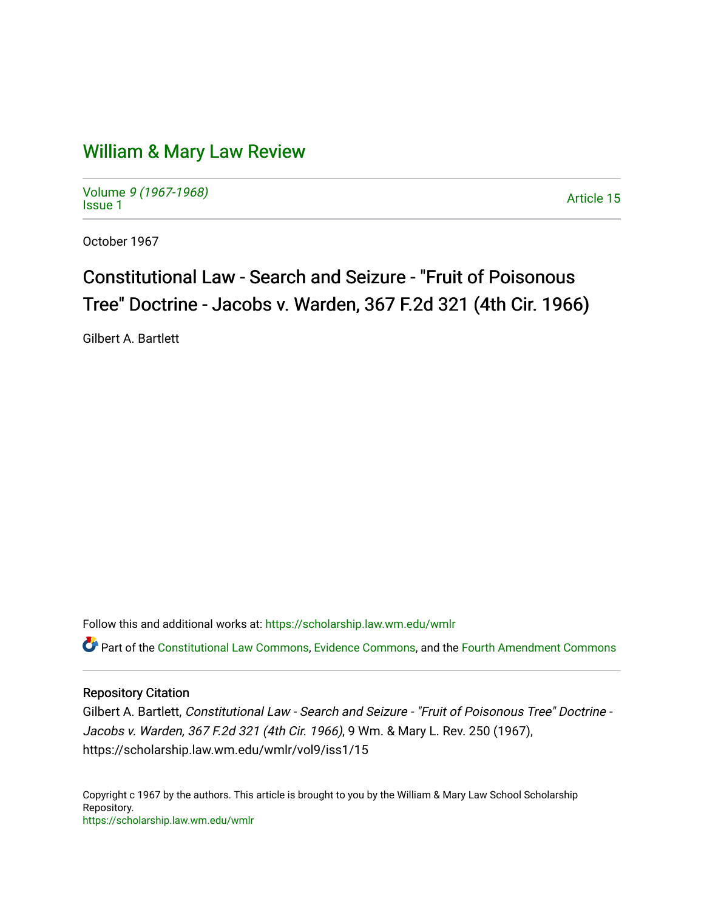## [William & Mary Law Review](https://scholarship.law.wm.edu/wmlr)

Volume [9 \(1967-1968\)](https://scholarship.law.wm.edu/wmlr/vol9)  Notative 9 (1907-1906)<br>[Issue 1](https://scholarship.law.wm.edu/wmlr/vol9/iss1) Article 15

October 1967

## Constitutional Law - Search and Seizure - "Fruit of Poisonous Tree" Doctrine - Jacobs v. Warden, 367 F.2d 321 (4th Cir. 1966).

Gilbert A. Bartlett

Follow this and additional works at: [https://scholarship.law.wm.edu/wmlr](https://scholarship.law.wm.edu/wmlr?utm_source=scholarship.law.wm.edu%2Fwmlr%2Fvol9%2Fiss1%2F15&utm_medium=PDF&utm_campaign=PDFCoverPages)

Part of the [Constitutional Law Commons,](http://network.bepress.com/hgg/discipline/589?utm_source=scholarship.law.wm.edu%2Fwmlr%2Fvol9%2Fiss1%2F15&utm_medium=PDF&utm_campaign=PDFCoverPages) [Evidence Commons,](http://network.bepress.com/hgg/discipline/601?utm_source=scholarship.law.wm.edu%2Fwmlr%2Fvol9%2Fiss1%2F15&utm_medium=PDF&utm_campaign=PDFCoverPages) and the [Fourth Amendment Commons](http://network.bepress.com/hgg/discipline/1180?utm_source=scholarship.law.wm.edu%2Fwmlr%2Fvol9%2Fiss1%2F15&utm_medium=PDF&utm_campaign=PDFCoverPages)

## Repository Citation

Gilbert A. Bartlett, Constitutional Law - Search and Seizure - "Fruit of Poisonous Tree" Doctrine - Jacobs v. Warden, 367 F.2d 321 (4th Cir. 1966), 9 Wm. & Mary L. Rev. 250 (1967), https://scholarship.law.wm.edu/wmlr/vol9/iss1/15

Copyright c 1967 by the authors. This article is brought to you by the William & Mary Law School Scholarship Repository. <https://scholarship.law.wm.edu/wmlr>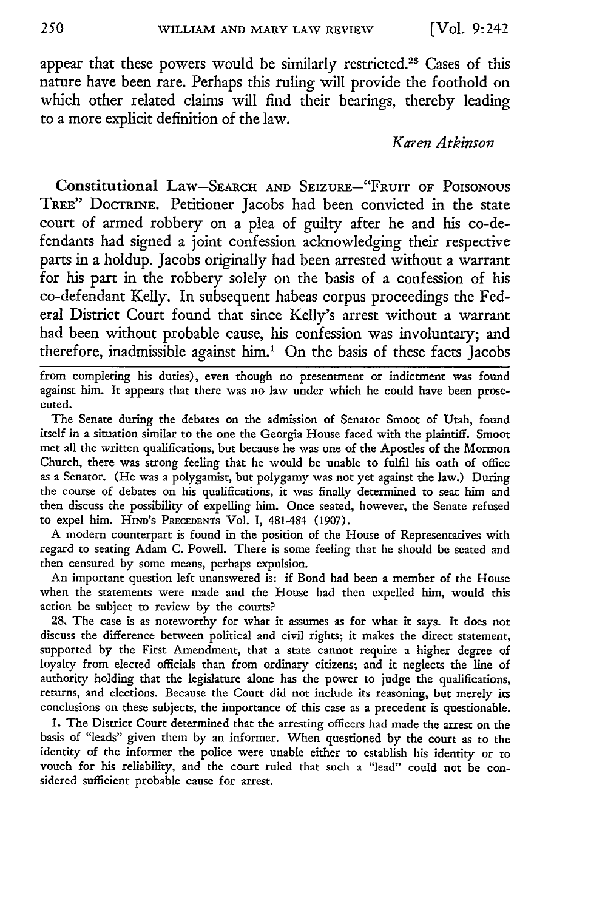appear that these powers would be similarly restricted.<sup>28</sup> Cases of this nature have been rare. Perhaps this ruling will provide the foothold on which other related claims will find their bearings, thereby leading to a more explicit definition of the law.

## *Karen Atkinson*

Constitutional Law-SEARCH **AND** SEIZURE-'"FRuirr **OF POISONOUS** TREE" DOCTRINE. Petitioner Jacobs had been convicted in the state court of armed robbery on a plea of guilty after he and his co-defendants had signed a joint confession acknowledging their respective parts in a holdup. Jacobs originally had been arrested without a warrant for his part in the robbery solely on the basis of a confession of his co-defendant Kelly. In subsequent habeas corpus proceedings the Federal District Court found that since Kelly's arrest without a warrant had been without probable cause, his confession was involuntary; and therefore, inadmissible against him.' On the basis of these facts Jacobs

from completing his duties), even though no presentment or indictment was found against him. It appears that there was no law under which he could have been prosecuted.

The Senate during the debates on the admission of Senator Smoot of Utah, found itself in a situation similar to the one the Georgia House faced with the plaintiff. Smoot met all the written qualifications, but because he was one of the Apostles of the Mormon Church, there was strong feeling that he would be unable to fulfil his oath of office as a Senator. (He was a polygamist, but polygamy was not yet against the law.) During the course of debates on his qualifications, it was finally determined to seat him and then discuss the possibility of expelling him. Once seated, however, the Senate refused to expel him. HiND's **PRECEDENTS** Vol. I, 481-484 **(1907).**

A modern counterpart is found in the position of the House of Representatives with regard to seating Adam C. Powell. There is some feeling that he should be seated and then censured by some means, perhaps expulsion.

An important question left unanswered is: if Bond had been a member of the House when the statements were made and the House had then expelled him, would this action be subject to review by the courts?

**28.** The case is as noteworthy for what it assumes as for what it says. It does not discuss the difference between political and civil rights; it makes the direct statement, supported by the First Amendment, that a state cannot require a higher degree of loyalty from elected officials than from ordinary citizens; and it neglects the line of authority holding that the legislature alone has the power to judge the qualifications, returns, and elections. Because the Court did not include its reasoning, but merely its conclusions on these subjects, the importance of this case as a precedent is questionable.

**1.** The District Court determined that the arresting officers had made the arrest on the basis of "leads" given them by an informer. When questioned by the court as to the identity of the informer the police were unable either to establish his identity or to vouch for his reliability, and the court ruled that such a "lead" could not be considered sufficient probable cause for arrest.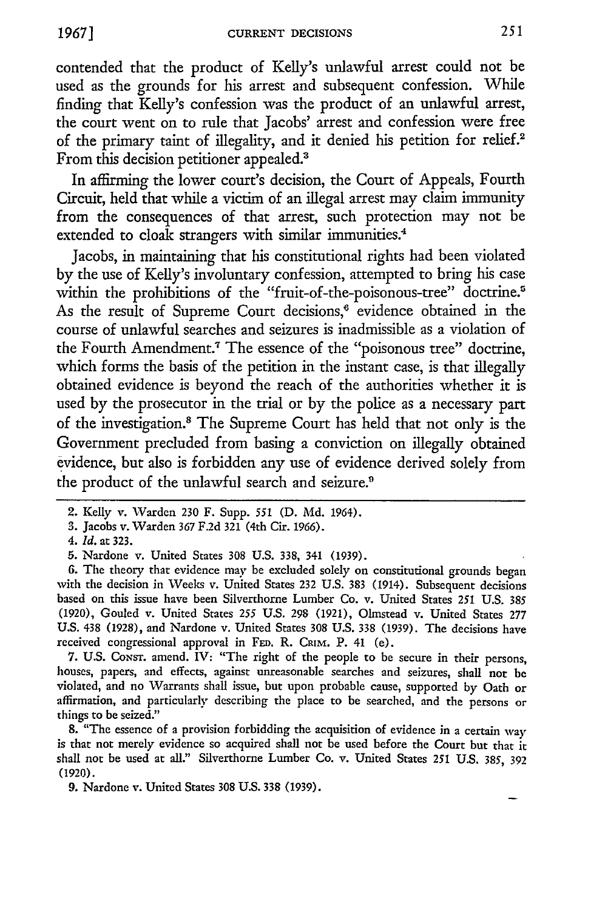contended that the product of Kelly's unlawful arrest could not be used as the grounds for his arrest and subsequent confession. While finding that Kelly's confession was the product of an unlawful arrest, the court went on to rule that Jacobs' arrest and confession were free of the primary taint of illegality, and it denied his petition for relief.2 From this decision petitioner appealed.3

In affirming the lower court's decision, the Court of Appeals, Fourth Circuit, held that while a victim of an illegal arrest may claim immunity from the consequences of that arrest, such protection may not be extended to cloak strangers with similar immunities.<sup>4</sup>

Jacobs, in maintaining that his constitutional rights had been violated by the use of Kelly's involuntary confession, attempted to bring his case within the prohibitions of the "fruit-of-the-poisonous-tree" doctrine.<sup>5</sup> As the result of Supreme Court decisions,<sup>6</sup> evidence obtained in the course of unlawful searches and seizures is inadmissible as a violation of the Fourth Amendment.<sup>7</sup> The essence of the "poisonous tree" doctrine, which forms the basis of the petition in the instant case, is that illegally obtained evidence is beyond the reach of the authorities whether it is used by the prosecutor in the trial or by the police as a necessary part of the investigation.<sup>8</sup> The Supreme Court has held that not only is the Government precluded from basing a conviction on illegally obtained evidence, but also is forbidden any use of evidence derived solely from the product of the unlawful search and seizure.<sup>9</sup>

6. The theory that evidence may be excluded solely on constitutional grounds began with the decision in Weeks v. United States 232 U.S. 383 (1914). Subsequent decisions based on this issue have been Silverthorne Lumber Co. v. United States 251 U.S. 385 (1920), Gouled v. United States *255* U.S. 298 (1921), Olmstead v. United States 277 U.S. 438 (1928), and Nardone v. United States 308 U.S. 338 (1939). The decisions have received congressional approval in **FED.** R. CRIM. P. 41 (e).

7. U.S. CoNsr. amend. IV: "The right of the people to be secure in their persons, houses, papers, and effects, against unreasonable searches and seizures, shall not be violated, and no Warrants shall issue, but upon probable cause, supported by Oath or affirmation, and particularly describing the place to be searched, and the persons or things to be seized."

8. "The essence of a provision forbidding the acquisition of evidence in a certain way is that not merely evidence so acquired shall not be used before the Court but that it shall not be used at all." Silverthorne Lumber Co. v. United States 251 U.S. 385, 392 (1920).

**9.** Nardone v. United States 308 U.S. 338 (1939).

<sup>2.</sup> Kelly v. Warden **230** F. Supp. **551 (D. Md.** 1964).

**<sup>3.</sup>** Jacobs v. Warden 367 F.2d 321 (4th Cir. 1966).

*<sup>4.</sup> Id.* at 323.

**<sup>5.</sup>** Nardone v. United States 308 U.S. 338, 341 (1939).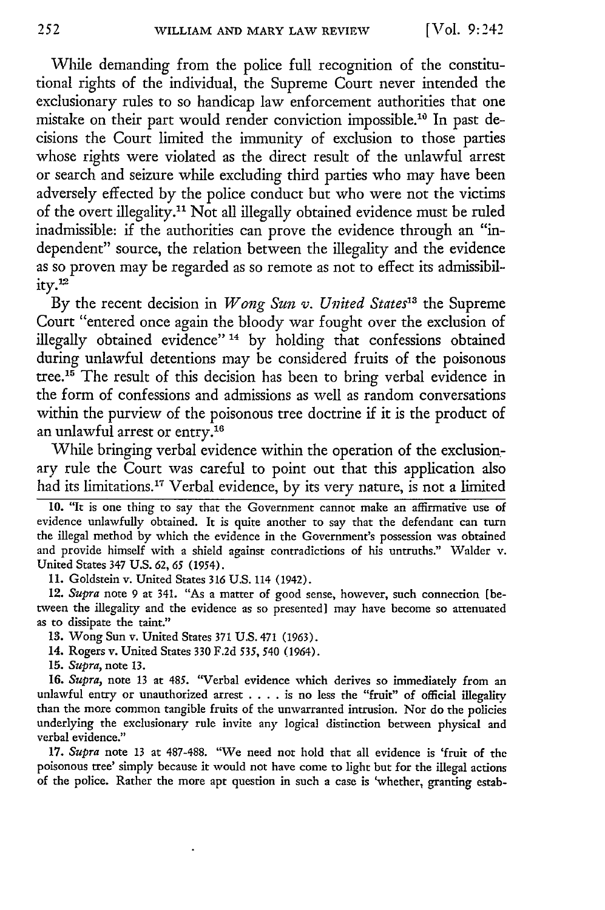While demanding from the police full recognition of the constitutional rights of the individual, the Supreme Court never intended the exclusionary rules to so handicap law enforcement authorities that one mistake on their part would render conviction impossible.<sup>10</sup> In past decisions the Court limited the immunity of exclusion to those parties whose rights were violated as the direct result of the unlawful arrest or search and seizure while excluding third parties who may have been adversely effected by the police conduct but who were not the victims of the overt illegality." Not all illegally obtained evidence must be ruled inadmissible: if the authorities can prove the evidence through an "independent" source, the relation between the illegality and the evidence as so proven may be regarded as so remote as not to effect its admissibility.<sup>12</sup>

By the recent decision in *Wong Sun v. United States*<sup>13</sup> the Supreme Court "entered once again the bloody war fought over the exclusion of illegally obtained evidence" 14 by holding that confessions obtained during unlawful detentions may be considered fruits of the poisonous tree.'5 The result of this decision has been to bring verbal evidence in the form of confessions and admissions as well as random conversations within the purview of the poisonous tree doctrine if it is the product of an unlawful arrest or entry.16

While bringing verbal evidence within the operation of the exclusionary rule the Court was careful to point out that this application also had its limitations.<sup>17</sup> Verbal evidence, by its very nature, is not a limited

11. Goldstein v. United States 316 U.S. 114 (1942).

12. *Supra* note 9 at 341. "As a matter of good sense, however, such connection [between the illegality and the evidence as so presented] may have become so attenuated as to dissipate the taint."

13. Wong Sun v. United States 371 U.S. 471 (1963).

14. Rogers v. United States 330 F.2d *535,* 540 (1964).

**15.** *Supra,* note 13.

**16.** *Supra,* note 13 at 485. "Verbal evidence which derives so immediately from an unlawful entry or unauthorized arrest **....** is no less the "fruit" of official illegality than the more common tangible fruits of the unwarranted intrusion. Nor do the policies underlying the exclusionary rule invite any logical distinction between physical and verbal evidence."

17. *Supra* note 13 at 487-488. "We need not hold that all evidence is 'fruit of the poisonous tree' simply because it would not have come to light but for the illegal actions of the police. Rather the more apt question in such a case is 'whether, granting estab-

**<sup>10.</sup>** "It is one thing to say that the Government cannot make an affirmative use of evidence unlawfully obtained. It is quite another to say that the defendant can turn the illegal method by which the evidence in the Government's possession was obtained and provide himself with a shield against contradictions of his untruths." Walder v. United States 347 U.S. 62, *65 (1954).*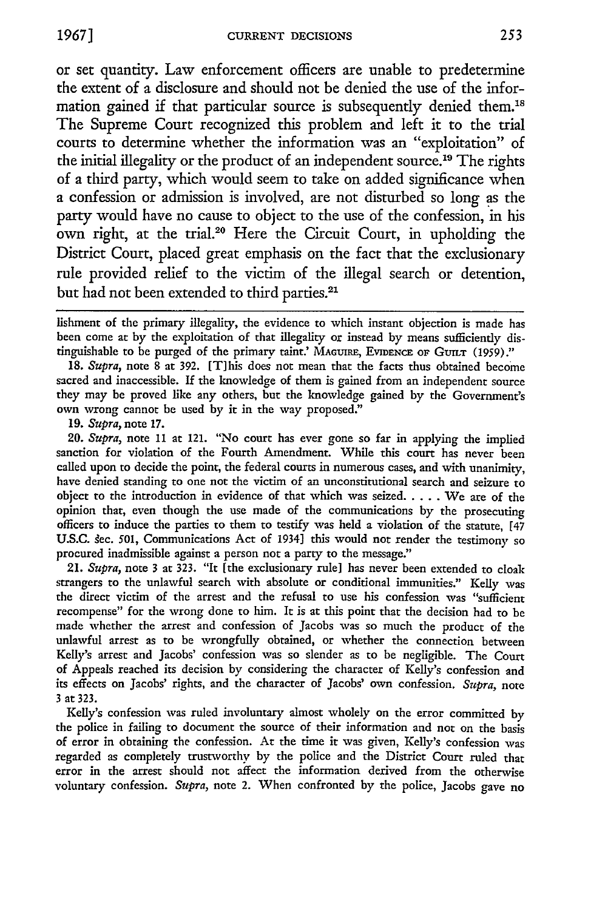or set quantity. Law enforcement officers are unable to predetermine the extent of a disclosure and should not be denied the use of the information gained if that particular source is subsequently denied them.<sup>18</sup> The Supreme Court recognized this problem and left it to the trial courts to determine whether the information was an "exploitation" of the initial illegality or the product of an independent source.<sup>19</sup> The rights of a third party, which would seem to take on added significance when a confession or admission is involved, are not disturbed so long as the party would have no cause to object to the use of the confession, in his own right, at the trial.<sup>20</sup> Here the Circuit Court, in upholding the District Court, placed great emphasis on the fact that the exclusionary rule provided relief to the victim of the illegal search or detention,

but had not been extended to third parties.<sup>21</sup>

18. *Supra,* note **8** at 392. [Tlhis does not mean that the facts thus obtained become sacred and inaccessible. If the knowledge of them is gained from an independent source they may be proved like any others, but the knowledge gained by the Government's own wrong cannot be used by it in the way proposed."

**19.** *Supra,* note 17.

*20. Supra,* note 11 at 121. "No court has ever gone so far in applying the implied sanction for violation of the Fourth Amendment. While this court has never been called upon to decide the point, the federal courts in numerous cases, and with unanimity, have denied standing to one not the victim of an unconstitutional search and seizure to object to the introduction in evidence of that which was seized **.....** We are of the opinion that, even though the use made of the communications by the prosecuting officers to induce the parties to them to testify was held a violation of the statute, [47 U.S.C. sec. 501, Communications Act of 1934] this would not render the testimony so procured inadmissible against a person not a party to the message."

*21. Supra,* note 3 at 323. "It [the exclusionary rule] has never been extended to cloak strangers to the unlawful search with absolute or conditional immunities." Kelly was the direct victim of the arrest and the refusal to use his confession was "sufficient recompense" for the wrong done to him. It is at this point that the decision had to be made whether the arrest and confession of Jacobs was so much the product of the unlawful arrest as to be wrongfully obtained, or whether the connection between Kelly's arrest and Jacobs' confession was so slender as to be negligible. The Court of Appeals reached its decision by considering the character of Kelly's confession and its effects on Jacobs' rights, and the character of Jacobs' own confession. *Supra,* note **3** at **323.**

Kelly's confession was ruled involuntary almost wholely on the error committed by the police in failing to document the source of their information and not on the basis of error in obtaining the confession. At the time it was given, Kelly's confession was regarded as completely trustworthy by the police and the District Court ruled that error in the arrest should not affect the information derived from the otherwise voluntary confession. *Supra,* note 2. When confronted by the police, Jacobs gave no

lishment of the primary illegality, the evidence to which instant objection is made has been come at by the exploitation of that illegality or instead by means sufficiently distinguishable to be purged of the primary taint.' **MAGUIRE, EVIDENCE** OF **GUILT** (1959)."